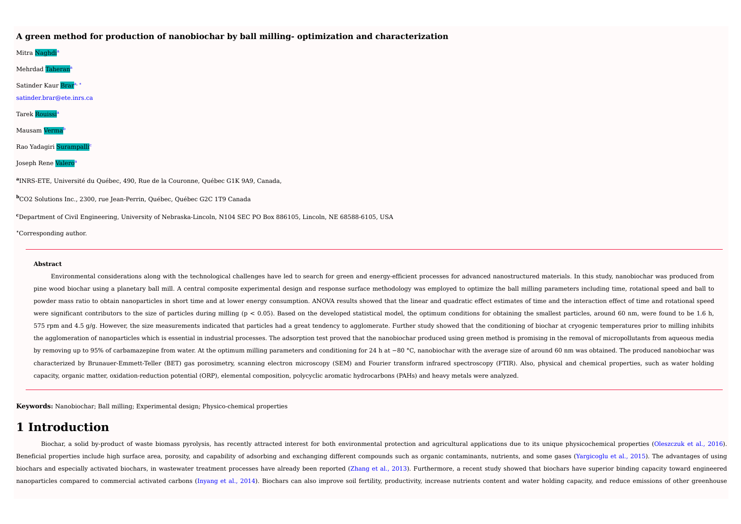#### **A green method for production of nanobiochar by ball milling- optimization and characterization**

Mitra <mark>Naghdi<sup>a</sup></mark> Mehrdad Taheran a Satinder Kaur <mark>Brar</mark>ª, \* satinder.brar@ete.inrs.ca Tarek Rouissi a Mausam Verma b Rao Yadagiri Surampalli c Joseph Rene <mark>Valero</mark><sup>a</sup> **a** INRS-ETE, Université du Québec, 490, Rue de la Couronne, Québec G1K 9A9, Canada, **<sup>b</sup>**CO2 Solutions Inc., 2300, rue Jean-Perrin, Québec, Québec G2C 1T9 Canada **<sup>c</sup>**Department of Civil Engineering, University of Nebraska-Lincoln, N104 SEC PO Box 886105, Lincoln, NE 68588-6105, USA

**<sup>∗</sup>**Corresponding author.

#### **Abstract**

Environmental considerations along with the technological challenges have led to search for green and energy-efficient processes for advanced nanostructured materials. In this study, nanobiochar was produced from pine wood biochar using a planetary ball mill. A central composite experimental design and response surface methodology was employed to optimize the ball milling parameters including time, rotational speed and ball to powder mass ratio to obtain nanoparticles in short time and at lower energy consumption. ANOVA results showed that the linear and quadratic effect estimates of time and the interaction effect of time and rotational speed were significant contributors to the size of particles during milling (p < 0.05). Based on the developed statistical model, the optimum conditions for obtaining the smallest particles, around 60 nm, were found to be 1.6 h  $575$  rpm and  $4.5$  g/g. However, the size measurements indicated that particles had a great tendency to agglomerate. Further study showed that the conditioning of biochar at cryogenic temperatures prior to milling inhibi the agglomeration of nanoparticles which is essential in industrial processes. The adsorption test proved that the nanobiochar produced using green method is promising in the removal of micropollutants from aqueous media by removing up to 95% of carbamazepine from water. At the optimum milling parameters and conditioning for 24 h at −80 °C, nanobiochar with the average size of around 60 nm was obtained. The produced nanobiochar was characterized by Brunauer-Emmett-Teller (BET) gas porosimetry, scanning electron microscopy (SEM) and Fourier transform infrared spectroscopy (FTIR). Also, physical and chemical properties, such as water holding capacity, organic matter, oxidation-reduction potential (ORP), elemental composition, polycyclic aromatic hydrocarbons (PAHs) and heavy metals were analyzed.

**Keywords:** Nanobiochar; Ball milling; Experimental design; Physico-chemical properties

# **1 Introduction**

Biochar, a solid by-product of waste biomass pyrolysis, has recently attracted interest for both environmental protection and agricultural applications due to its unique physicochemical properties (Oleszczuk et al., 2016). Beneficial properties include high surface area, porosity, and capability of adsorbing and exchanging different compounds such as organic contaminants, nutrients, and some gases (Yargicoglu et al., 2015). The advantages of biochars and especially activated biochars, in wastewater treatment processes have already been reported (Zhang et al., 2013). Furthermore, a recent study showed that biochars have superior binding capacity toward engineered nanoparticles compared to commercial activated carbons (Invang et al., 2014). Biochars can also improve soil fertility, productivity, increase nutrients content and water holding capacity, and reduce emissions of other gre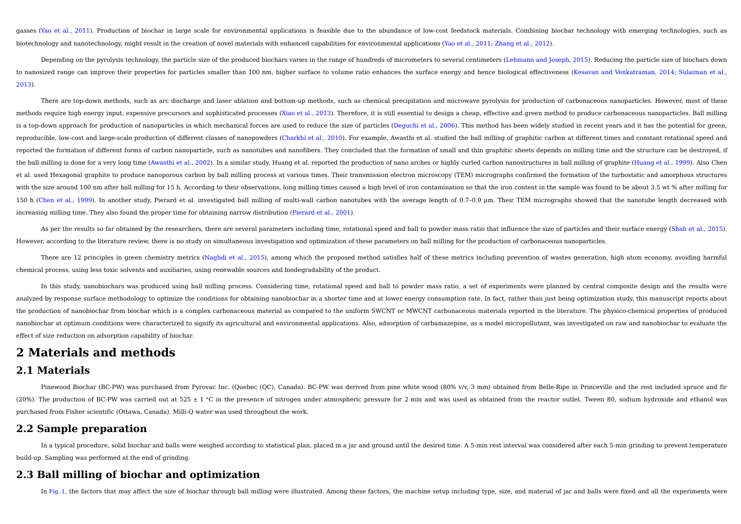gasses (Yao et al., 2011). Production of biochar in large scale for environmental applications is feasible due to the abundance of low-cost feedstock materials. Combining biochar technology with emerging technologies, such biotechnology and nanotechnology, might result in the creation of novel materials with enhanced capabilities for environmental applications (Yao et al., 2011; Zhang et al., 2012).

Depending on the pyrolysis technology, the particle size of the produced biochars varies in the range of hundreds of micrometers to several centimeters (Lehmann and Joseph, 2015). Reducing the particle size of biochars dow to nanosized range can improve their properties for particles smaller than 100 nm, higher surface to volume ratio enhances the surface energy and hence biological effectiveness (Kesavan and Venkatraman, 2014; Sulaiman et a 2013).

There are top-down methods, such as arc discharge and laser ablation and bottom-up methods, such as chemical precipitation and microwave pyrolysis for production of carbonaceous nanoparticles. However, most of these methods require high energy input, expensive precursors and sophisticated processes (Xiao et al., 2013). Therefore, it is still essential to design a cheap, effective and green method to produce carbonaceous nanoparticles. is a top-down approach for production of nanoparticles in which mechanical forces are used to reduce the size of particles (Dequchi et al., 2006). This method has been widely studied in recent years and it has the potentia reproducible. low-cost and large-scale production of different classes of nanopowders (Charkhi et al., 2010). For example. Awasthi et al., studied the ball milling of graphitic carbon at different times and constant rotati reported the formation of different forms of carbon nanoparticle, such as nanotubes and nanofibers. They concluded that the formation of small and thin graphitic sheets depends on milling time and the structure can be dest the ball-milling is done for a very long time (Awasthi et al., 2002). In a similar study, Huang et al., reported the production of nano arches or highly curled carbon nanostructures in ball milling of graphite (Huang et al et al. used Hexagonal graphite to produce nanoporous carbon by ball milling process at various times. Their transmission electron microscopy (TEM) micrographs confirmed the formation of the turbostatic and amorphous struct with the size around 100 nm after ball milling for 15 h. According to their observations, long milling times caused a high level of iron contamination so that the iron content in the sample was found to be about 3.5 wt % a 150 h (Chen et al., 1999). In another study, Pierard et al. investigated ball milling of multi-wall carbon nanotubes with the average length of 0.7-0.9 um. Their TEM micrographs showed that the nanotube length decreased wi increasing milling time. They also found the proper time for obtaining narrow distribution (Pierard et al., 2001).

As per the results so far obtained by the researchers, there are several parameters including time, rotational speed and ball to powder mass ratio that influence the size of particles and their surface energy (Shah et al., However, according to the literature review, there is no study on simultaneous investigation and optimization of these parameters on ball milling for the production of carbonaceous nanoparticles.

There are 12 principles in green chemistry metrics (Naghdi et al., 2015), among which the proposed method satisfies half of these metrics including prevention of wastes generation, high atom economy, avoiding harmful chemical process, using less toxic solvents and auxiliaries, using renewable sources and biodegradability of the product.

In this study, nanobiochars was produced using ball milling process. Considering time, rotational speed and ball to powder mass ratio, a set of experiments were planned by central composite design and the results were analyzed by response surface methodology to optimize the conditions for obtaining nanobiochar in a shorter time and at lower energy consumption rate. In fact, rather than just being optimization study, this manuscript repo the production of nanobiochar from biochar which is a complex carbonaceous material as compared to the uniform SWCNT or MWCNT carbonaceous materials reported in the literature. The physico-chemical properties of produced nanobiochar at optimum conditions were characterized to signify its agricultural and environmental applications. Also, adsorption of carbamazepine, as a model micropollutant, was investigated on raw and nanobiochar to eval effect of size reduction on adsorption capability of biochar.

# **2 Materials and methods**

# **2.1 Materials**

Pinewood Biochar (BC-PW) was purchased from Pyrovac Inc. (Quebec (QC), Canada). BC-PW was derived from pine white wood (80% v/v, 3 mm) obtained from Belle-Ripe in Princeville and the rest included spruce and fir (20%). The production of BC-PW was carried out at 525  $\pm$  1 °C in the presence of nitrogen under atmospheric pressure for 2 min and was used as obtained from the reactor outlet. Tween 80, sodium hydroxide and ethanol was purchased from Fisher scientific (Ottawa, Canada). Milli-Q water was used throughout the work.

### **2.2 Sample preparation**

In a typical procedure, solid biochar and balls were weighed according to statistical plan, placed in a jar and ground until the desired time. A 5-min rest interval was considered after each 5-min grinding to prevent tempe build-up. Sampling was performed at the end of grinding.

### **2.3 Ball milling of biochar and optimization**

In Fig. 1, the factors that may affect the size of biochar through ball milling were illustrated. Among these factors, the machine setup including type, size, and material of jar and balls were fixed and all the experiment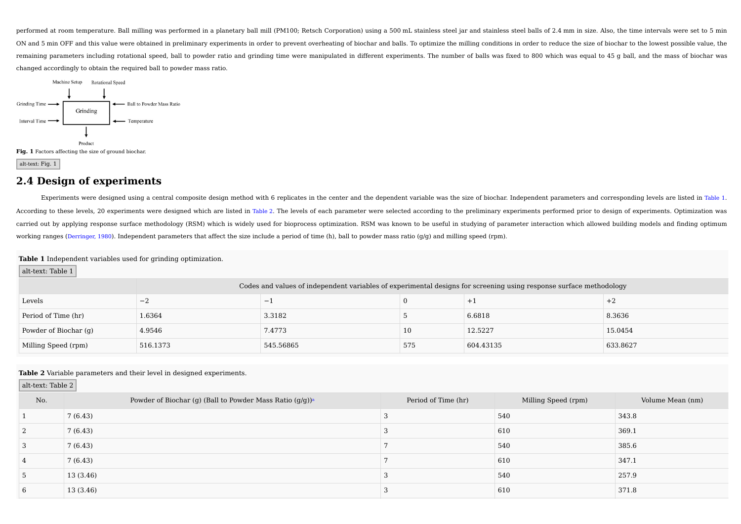performed at room temperature. Ball milling was performed in a planetary ball mill (PM100; Retsch Corporation) using a 500 mL stainless steel jar and stainless steel balls of 2.4 mm in size. Also, the time intervals were s ON and 5 min OFF and this value were obtained in preliminary experiments in order to prevent overheating of biochar and balls. To optimize the milling conditions in order to reduce the size of biochar to the lowest possibl remaining parameters including rotational speed, ball to powder ratio and grinding time were manipulated in different experiments. The number of balls was fixed to 800 which was equal to 45 g ball, and the mass of biochar changed accordingly to obtain the required ball to powder mass ratio.



**Fig. 1** Factors affecting the size of ground biochar.

alt-text: Fig. 1

# **2.4 Design of experiments**

Experiments were designed using a central composite design method with 6 replicates in the center and the dependent variable was the size of biochar. Independent parameters and corresponding levels are listed in Table 1. According to these levels, 20 experiments were designed which are listed in Table 2. The levels of each parameter were selected according to the preliminary experiments performed prior to design of experiments. Optimizatio carried out by applying response surface methodology (RSM) which is widely used for bioprocess optimization. RSM was known to be useful in studying of parameter interaction which allowed building models and finding optimum working ranges (Derringer, 1980). Independent parameters that affect the size include a period of time (h), ball to powder mass ratio ( $q/q$ ) and milling speed (rpm).

#### **Table 1** Independent variables used for grinding optimization.

alt-text: Table 1

|                       | Codes and values of independent variables of experimental designs for screening using response surface methodology |           |     |           |          |
|-----------------------|--------------------------------------------------------------------------------------------------------------------|-----------|-----|-----------|----------|
| Levels                | $-4$                                                                                                               | $-$       |     |           | $+2$     |
| Period of Time (hr)   | 1.6364                                                                                                             | 3.3182    |     | 6.6818    | 8.3636   |
| Powder of Biochar (g) | 4.9546                                                                                                             | 7.4773    | 10  | 12.5227   | 15.0454  |
| Milling Speed (rpm)   | 516.1373                                                                                                           | 545.56865 | 575 | 604.43135 | 633.8627 |

#### **Table 2** Variable parameters and their level in designed experiments.

| $\vert$ alt-text: Table 2 $\vert$ |                                                                      |                     |                     |                  |
|-----------------------------------|----------------------------------------------------------------------|---------------------|---------------------|------------------|
| No.                               | Powder of Biochar (g) (Ball to Powder Mass Ratio (g/g)) <sup>a</sup> | Period of Time (hr) | Milling Speed (rpm) | Volume Mean (nm) |
|                                   | 7(6.43)                                                              |                     | 540                 | 343.8            |
| <sup>2</sup>                      | 7(6.43)                                                              |                     | 610                 | 369.1            |
| 3                                 | 7(6.43)                                                              |                     | 540                 | 385.6            |
| $\overline{4}$                    | 7(6.43)                                                              |                     | 610                 | 347.1            |
| 5                                 | 13(3.46)                                                             |                     | 540                 | 257.9            |
| 6                                 | 13 (3.46)                                                            |                     | 610                 | 371.8            |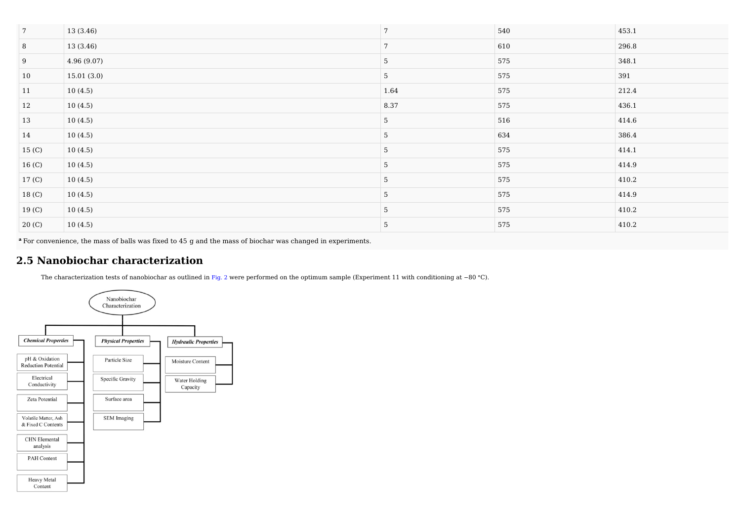| $7\overline{ }$   | 13 (3.46)  | $\mathbf{r}$ | 540 | 453.1 |
|-------------------|------------|--------------|-----|-------|
| $\,8\,$           | 13 (3.46)  | 7            | 610 | 296.8 |
| $9\,$             | 4.96(9.07) | 5            | 575 | 348.1 |
| 10                | 15.01(3.0) | 5            | 575 | 391   |
| 11                | 10(4.5)    | 1.64         | 575 | 212.4 |
| <sup>12</sup>     | 10(4.5)    | 8.37         | 575 | 436.1 |
| 13                | 10(4.5)    | 5            | 516 | 414.6 |
| 14                | 10(4.5)    | -5           | 634 | 386.4 |
| 15 <sub>(C)</sub> | 10(4.5)    | 5            | 575 | 414.1 |
| 16 <sub>(C)</sub> | 10(4.5)    | 5            | 575 | 414.9 |
| 17 <sub>(C)</sub> | 10(4.5)    | -5           | 575 | 410.2 |
| 18 (C)            | 10(4.5)    | 5            | 575 | 414.9 |
| 19 <sub>(C)</sub> | 10(4.5)    | 5            | 575 | 410.2 |
| 20(C)             | 10(4.5)    | -5           | 575 | 410.2 |

**<sup>a</sup>** For convenience, the mass of balls was fixed to 45 g and the mass of biochar was changed in experiments.

# **2.5 Nanobiochar characterization**

The characterization tests of nanobiochar as outlined in Fig. 2 were performed on the optimum sample (Experiment 11 with conditioning at −80 °C).

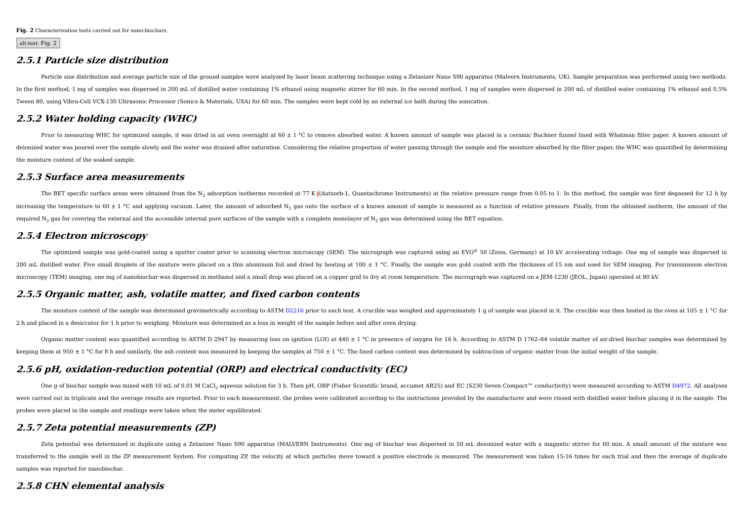**Fig. 2** Characterization tests carried out for nano-biochars.

alt-text: Fig. 2

#### **2.5.1 Particle size distribution**

Particle size distribution and average particle size of the ground samples were analyzed by laser beam scattering technique using a Zetasizer Nano S90 apparatus (Malvern Instruments, UK). Sample preparation was performed u In the first method, 1 mg of samples was dispersed in 200 mL of distilled water containing 1% ethanol using magnetic stirrer for 60 min. In the second method, 1 mg of samples were dispersed in 200 mL of distilled water con Tween 80, using Vibra-Cell VCX-130 Ultrasonic Processor (Sonics & Materials, USA) for 60 min. The samples were kept cold by an external ice bath during the sonication.

### **2.5.2 Water holding capacity (WHC)**

Prior to measuring WHC for optimized sample, it was dried in an oven overnight at  $60 \pm 1$  °C to remove absorbed water. A known amount of sample was placed in a ceramic Buchner funnel lined with Whatman filter paper. A kn deionized water was poured over the sample slowly and the water was drained after saturation. Considering the relative proportion of water passing through the sample and the moisture absorbed by the filter paper, the WHC w the moisture content of the soaked sample.

#### **2.5.3 Surface area measurements**

The BET specific surface areas were obtained from the N<sub>2</sub> adsorption isotherms recorded at 77 K  $($ (Autsorb-1, Quantachrome Instruments) at the relative pressure range from 0.05 to 1. In this method, the sample was first increasing the temperature to 60  $\pm$  1 °C and applying vacuum. Later, the amount of adsorbed N<sub>2</sub> gas onto the surface of a known amount of sample is measured as a function of relative pressure. Finally, from the obtaine required  $N_2$  gas for covering the external and the accessible internal pore surfaces of the sample with a complete monolayer of  $N_2$  gas was determined using the BET equation.

### **2.5.4 Electron microscopy**

The optimized sample was gold-coated using a sputter coater prior to scanning electron microscopy (SEM). The micrograph was captured using an EVO® 50 (Zeiss, Germany) at 10 kV accelerating voltage. One mg of sample was dis 200 mL distilled water. Five small droplets of the mixture were placed on a thin aluminum foil and dried by heating at 100 ± 1 °C. Finally, the sample was gold coated with the thickness of 15 nm and used for SEM imaging. F microscopy (TEM) imaging, one mg of nanobiochar was dispersed in methanol and a small drop was placed on a copper grid to dry at room temperature. The micrograph was captured on a JEM-1230 (JEOL, Japan) operated at 80 kV.

### **2.5.5 Organic matter, ash, volatile matter, and fixed carbon contents**

The moisture content of the sample was determined gravimetrically according to ASTM D2216 prior to each test. A crucible was weighed and approximately 1 g of sample was placed in it. The crucible was then heated in the ov 2 h and placed in a desiccator for 1 h prior to weighing. Moisture was determined as a loss in weight of the sample before and after oven drying.

Organic matter content was quantified according to ASTM D 2947 by measuring loss on ignition (LOI) at 440 ± 1 °C in presence of oxygen for 16 h. According to ASTM D 1762-84 volatile matter of air-dried biochar samples was keeping them at 950  $\pm$  1 °C for 8 h and similarly, the ash content was measured by keeping the samples at 750  $\pm$  1 °C. The fixed carbon content was determined by subtraction of organic matter from the initial weight o

## **2.5.6 pH, oxidation-reduction potential (ORP) and electrical conductivity (EC)**

One q of biochar sample was mixed with 10 mL of 0.01 M CaCl<sub>2</sub> aqueous solution for 3 h. Then pH, ORP (Fisher Scientific brand, accumet AR25) and EC (S230 Seven Compact™ conductivity) were measured according to ASTM D4972 were carried out in triplicate and the average results are reported. Prior to each measurement, the probes were calibrated according to the instructions provided by the manufacturer and were rinsed with distilled water bef probes were placed in the sample and readings were taken when the meter equilibrated.

### **2.5.7 Zeta potential measurements (ZP)**

Zeta potential was determined in duplicate using a Zetasizer Nano S90 apparatus (MALVERN Instruments). One mg of biochar was dispersed in 50 mL deionized water with a magnetic stirrer for 60 min. A small amount of the mixt transferred to the sample well in the ZP measurement System. For computing ZP, the velocity at which particles move toward a positive electrode is measured. The measurement was taken 15-16 times for each trial and then the samples was reported for nanobiochar.

### **2.5.8 CHN elemental analysis**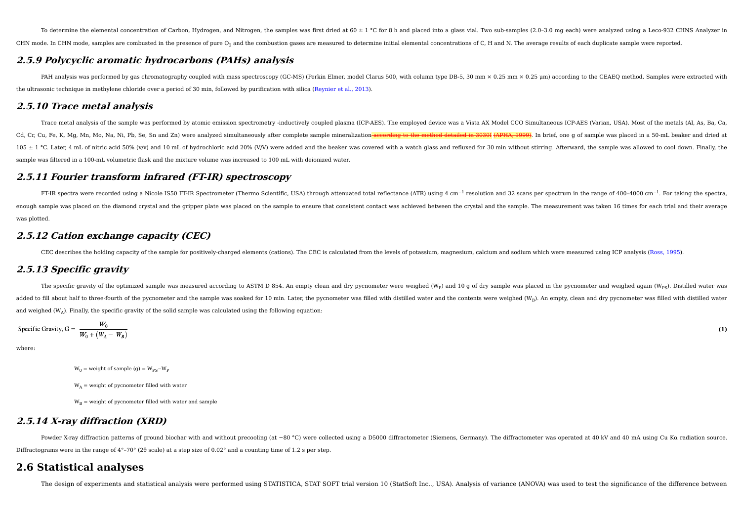To determine the elemental concentration of Carbon. Hydrogen, and Nitrogen, the samples was first dried at 60 ± 1 °C for 8 h and placed into a glass yial. Two sub-samples (2.0-3.0 mg each) were analyzed using a Leco-932 CH CHN mode. In CHN mode, samples are combusted in the presence of pure O<sub>2</sub> and the combustion gases are measured to determine initial elemental concentrations of C, H and N. The average results of each duplicate sample were

### **2.5.9 Polycyclic aromatic hydrocarbons (PAHs) analysis**

PAH analysis was performed by gas chromatography coupled with mass spectroscopy (GC-MS) (Perkin Elmer, model Clarus 500, with column type DB-5, 30 mm × 0.25 nm × 0.25 mm is coording to the CEAEO method. Samples were extrac the ultrasonic technique in methylene chloride over a period of 30 min, followed by purification with silica (Reynier et al., 2013).

### **2.5.10 Trace metal analysis**

Trace metal analysis of the sample was performed by atomic emission spectrometry -inductively coupled plasma (ICP-AES). The employed device was a Vista AX Model CCO Simultaneous ICP-AES (Varian, USA). Most of the metals (A Cd, Cr, Cu, Fe, K, Mg, Mn, Mo, Na, Ni, Pb, Se, Sn and Zn) were analyzed simultaneously after complete sample mineralization<del>-according to the method detailed in 3030I (APHA, 1999)</del>. In brief, one g of sample was placed in 105 ± 1 °C. Later, 4 mL of nitric acid 50% (v/v) and 10 mL of hydrochloric acid 20% (V/V) were added and the beaker was covered with a watch glass and refluxed for 30 min without stirring. Afterward, the sample was allowed sample was filtered in a 100-mL volumetric flask and the mixture volume was increased to 100 mL with deionized water.

### **2.5.11 Fourier transform infrared (FT-IR) spectroscopy**

FT-IR spectra were recorded using a Nicole IS50 FT-IR Spectrometer (Thermo Scientific, USA) through attenuated total reflectance (ATR) using 4 cm<sup>-1</sup> resolution and 32 scans per spectrum in the range of 400-4000 cm<sup>-1</sup>. Fo enough sample was placed on the diamond crystal and the gripper plate was placed on the sample to ensure that consistent contact was achieved between the crystal and the sample. The measurement was taken 16 times for each was plotted.

### **2.5.12 Cation exchange capacity (CEC)**

CEC describes the holding capacity of the sample for positively-charged elements (cations). The CEC is calculated from the levels of potassium, magnesium, calcium and sodium which were measured using ICP analysis (Ross, 19

### **2.5.13 Specific gravity**

The specific gravity of the optimized sample was measured according to ASTM D 854. An empty clean and dry pycnometer were weighed (W<sub>p</sub>) and 10 g of dry sample was placed in the pycnometer and weighed again (W<sub>ps</sub>). Disti added to fill about half to three-fourth of the pycnometer and the sample was soaked for 10 min. Later, the pycnometer was filled with distilled water and the contents were weighed (W<sub>B</sub>). An empty, clean and dry pycnomet and weighed  $(W_A)$ . Finally, the specific gravity of the solid sample was calculated using the following equation:

Specific Gravity, 
$$
G = \frac{W_0}{W_0 + (W_A - W_B)}
$$
 (1)

where:

 $W_0$  = weight of sample (g) =  $W_{\text{pc}}-W_{\text{p}}$ 

 $W_A$  = weight of pycnometer filled with water

 $W_{\text{p}}$  = weight of pycnometer filled with water and sample

### **2.5.14 X-ray diffraction (XRD)**

Powder X-ray diffraction patterns of ground biochar with and without precooling (at -80 °C) were collected using a D5000 diffractometer (Siemens, Germany). The diffractometer was operated at 40 kV and 40 mA using Cu Kα rad Diffractograms were in the range of 4°–70° (2θ scale) at a step size of 0.02° and a counting time of 1.2 s per step.

# **2.6 Statistical analyses**

The design of experiments and statistical analysis were performed using STATISTICA, STAT SOFT trial version 10 (StatSoft Inc.., USA). Analysis of variance (ANOVA) was used to test the significance of the difference between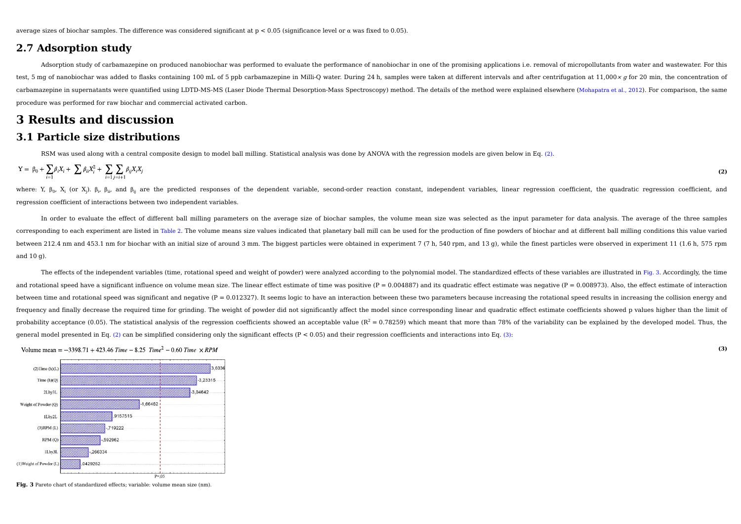average sizes of biochar samples. The difference was considered significant at p < 0.05 (significance level or α was fixed to 0.05).

### **2.7 Adsorption study**

Adsorption study of carbamazepine on produced nanobiochar was performed to evaluate the performance of nanobiochar in one of the promising applications i.e. removal of micropollutants from water and wastewater. For this test, 5 mg of nanobiochar was added to flasks containing 100 mL of 5 ppb carbamazepine in Milli-O water. During 24 h, samples were taken at different intervals and after centrifugation at 11,000 x q for 20 min, the concen carbamazepine in supernatants were quantified using LDTD-MS-MS (Laser Diode Thermal Desorption-Mass Spectroscopy) method. The details of the method were explained elsewhere (Mohapatra et al., 2012). For comparison, the sam procedure was performed for raw biochar and commercial activated carbon.

# **3 Results and discussion**

### **3.1 Particle size distributions**

RSM was used along with a central composite design to model ball milling. Statistical analysis was done by ANOVA with the regression models are given below in Eq. (2).

$$
Y = \beta_0 + \sum_{i=1} \beta_i X_i + \sum \beta_{ii} X_i^2 + \sum_{i=1} \sum_{j=i+1} \beta_{ij} X_i X_j
$$
 (2)

where: Y, β<sub>0</sub>, X<sub>i</sub> (or X<sub>j</sub>). β<sub>i</sub>, β<sub>ii</sub>, and β<sub>ij</sub> are the predicted responses of the dependent variable, second-order reaction constant, independent variables, linear regression coefficient, the quadratic regression regression coefficient of interactions between two independent variables.

In order to evaluate the effect of different ball milling parameters on the average size of biochar samples, the volume mean size was selected as the input parameter for data analysis. The average of the three samples corresponding to each experiment are listed in Table 2. The volume means size values indicated that planetary ball mill can be used for the production of fine powders of biochar and at different ball milling conditions thi between 212.4 nm and 453.1 nm for biochar with an initial size of around 3 mm. The biggest particles were obtained in experiment 7 (7 h, 540 rpm, and 13 g), while the finest particles were observed in experiment 11 (1.6 h, and 10 g).

The effects of the independent variables (time, rotational speed and weight of powder) were analyzed according to the polynomial model. The standardized effects of these variables are illustrated in Fig. 3. Accordingly, th and rotational speed have a significant influence on volume mean size. The linear effect estimate of time was positive  $(P = 0.004887)$  and its quadratic effect estimate was negative  $(P = 0.008973)$ . Also, the effect estimat between time and rotational speed was significant and negative (P = 0.012327). It seems logic to have an interaction between these two parameters because increasing the rotational speed results in increasing the collision frequency and finally decrease the required time for grinding. The weight of powder did not significantly affect the model since corresponding linear and quadratic effect estimate coefficients showed p values higher than t probability acceptance (0.05). The statistical analysis of the regression coefficients showed an acceptable value ( $R^2 = 0.78259$ ) which meant that more than 78% of the variability can be explained by the developed model. general model presented in Eq. (2) can be simplified considering only the significant effects ( $P < 0.05$ ) and their regression coefficients and interactions into Eq. (3):

**(3)**

Volume mean =  $-3398.71 + 423.46$  Time  $-8.25$  Time<sup>2</sup>  $-0.60$  Time  $\times$  RPM



**Fig. 3** Pareto chart of standardized effects; variable: volume mean size (nm).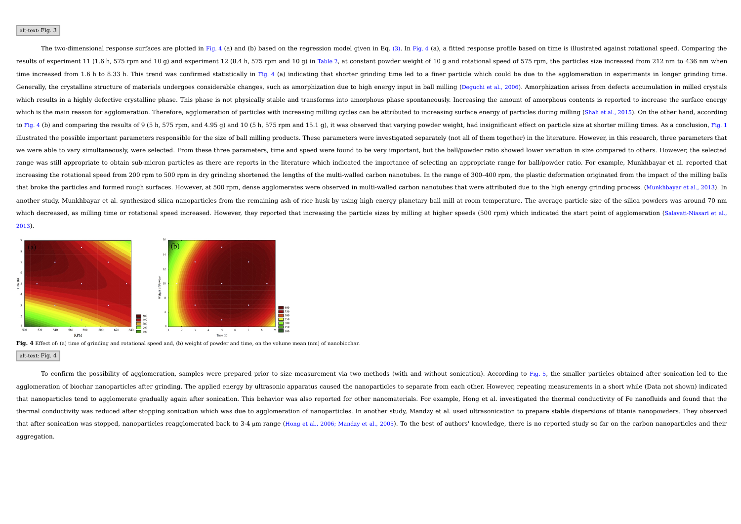#### alt-text: Fig. 3

The two-dimensional response surfaces are plotted in Fig. 4 (a) and (b) based on the regression model given in Eq. (3). In Fig. 4 (a), a fitted response profile based on time is illustrated against rotational speed. Compar results of experiment 11 (1.6 h, 575 rpm and 10 q) and experiment 12 (8.4 h, 575 rpm and 10 q) in Table 2, at constant powder weight of 10 q and rotational speed of 575 rpm, the particles size increased from 212 nm to 436 time increased from 1.6 h to 8.33 h. This trend was confirmed statistically in Fig. 4 (a) indicating that shorter grinding time led to a finer particle which could be due to the agglomeration in experiments in longer grind Generally, the crystalline structure of materials undergoes considerable changes, such as amorphization due to high energy input in ball milling (Dequchi et al., 2006). Amorphization arises from defects accumulation in mil which results in a highly defective crystalline phase. This phase is not physically stable and transforms into amorphous phase spontaneously. Increasing the amount of amorphous contents is reported to increase the surface which is the main reason for agglomeration. Therefore, agglomeration of particles with increasing milling cycles can be attributed to increasing surface energy of particles during milling (Shah et al., 2015). On the other to Fig. 4 (b) and comparing the results of 9 (5 h, 575 rpm, and 4.95 g) and 10 (5 h, 575 rpm and 15.1 g), it was observed that varying powder weight, had insignificant effect on particle size at shorter milling times. As a illustrated the possible important parameters responsible for the size of ball milling products. These parameters were investigated separately (not all of them together) in the literature. However, in this research, three we were able to vary simultaneously, were selected. From these three parameters, time and speed were found to be very important, but the ball/powder ratio showed lower variation in size compared to others. However, the sel range was still appropriate to obtain sub-micron particles as there are reports in the literature which indicated the importance of selecting an appropriate range for ball/powder ratio. For example, Munkhbayar et al. repor increasing the rotational speed from 200 rpm to 500 rpm in dry grinding shortened the lengths of the multi-walled carbon nanotubes. In the range of 300-400 rpm, the plastic deformation originated from the impact of the mil that broke the particles and formed rough surfaces. However, at 500 rpm, dense agglomerates were observed in multi-walled carbon nanotubes that were attributed due to the high energy grinding process. (Munkhbayar et al., 2 another study, Munkhbayar et al. synthesized silica nanoparticles from the remaining ash of rice husk by using high energy planetary ball mill at room temperature. The average particle size of the silica powders was around which decreased, as milling time or rotational speed increased. However, they reported that increasing the particle sizes by milling at higher speeds (500 rpm) which indicated the start point of agglomeration (Salayati-Nia 2013).



**Fig. 4** Effect of: (a) time of grinding and rotational speed and, (b) weight of powder and time, on the volume mean (nm) of nanobiochar. alt-text: Fig. 4

To confirm the possibility of agglomeration, samples were prepared prior to size measurement via two methods (with and without sonication). According to Fig. 5, the smaller particles obtained after sonication led to the agglomeration of biochar nanoparticles after grinding. The applied energy by ultrasonic apparatus caused the nanoparticles to separate from each other. However, repeating measurements in a short while (Data not shown) indi that nanoparticles tend to agglomerate gradually again after sonication. This behavior was also reported for other nanomaterials. For example, Hong et al. investigated the thermal conductivity of Fe nanofluids and found th thermal conductivity was reduced after stopping sonication which was due to agglomeration of nanoparticles. In another study, Mandzy et al. used ultrasonication to prepare stable dispersions of titania nanopowders. They ob that after sonication was stopped, nanoparticles reagglomerated back to 3-4 µm range (Hong et al., 2006; Mandzy et al., 2005). To the best of authors' knowledge, there is no reported study so far on the carbon nanoparticle aggregation.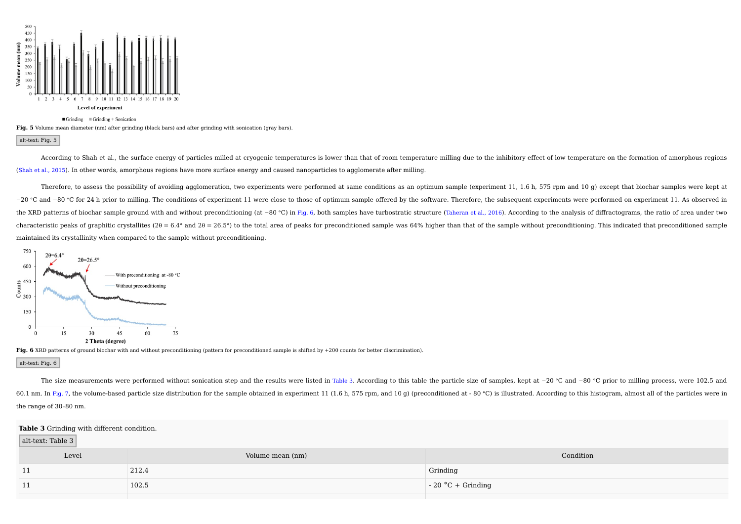

**Fig. 5** Volume mean diameter (nm) after grinding (black bars) and after grinding with sonication (gray bars).

alt-text: Fig. 5

According to Shah et al., the surface energy of particles milled at cryogenic temperatures is lower than that of room temperature milling due to the inhibitory effect of low temperature on the formation of amorphous region (Shah et al., 2015). In other words, amorphous regions have more surface energy and caused nanoparticles to agglomerate after milling.

Therefore, to assess the possibility of avoiding agglomeration, two experiments were performed at same conditions as an optimum sample (experiment 11, 1.6 h, 575 rpm and 10 g) except that biochar samples were kept at -20 °C and -80 °C for 24 h prior to milling. The conditions of experiment 11 were close to those of optimum sample offered by the software. Therefore, the subsequent experiments were performed on experiment 11. As observed the XRD patterns of biochar sample ground with and without preconditioning (at -80 °C) in Fig. 6, both samples have turbostratic structure (Taheran et al., 2016). According to the analysis of diffractograms, the ratio of characteristic peaks of graphitic crystallites (2 $\theta$  = 6.4 $\degree$  and 2 $\theta$  = 26.5 $\degree$ ) to the total area of peaks for preconditioned sample was 64% higher than that of the sample without preconditioning. This indicated tha maintained its crystallinity when compared to the sample without preconditioning.



Fig. 6 XRD patterns of ground biochar with and without preconditioning (pattern for preconditioned sample is shifted by +200 counts for better discrimination).

alt-text: Fig. 6

The size measurements were performed without sonication step and the results were listed in Table 3. According to this table the particle size of samples, kept at −20 °C and −80 °C prior to milling process, were 102.5 and 60.1 nm. In Fig. 7, the volume-based particle size distribution for the sample obtained in experiment 11 (1.6 h, 575 rpm, and 10 g) (preconditioned at -80 °C) is illustrated. According to this histogram, almost all of the the range of 30–80 nm.

#### **Table 3** Grinding with different condition.

alt-text: Table 3

| Level | Volume mean (nm) | Condition                  |
|-------|------------------|----------------------------|
| 11    | 212.4            | Grinding                   |
| 11    | 102.5            | $\vert$ - 20 °C + Grinding |
|       |                  |                            |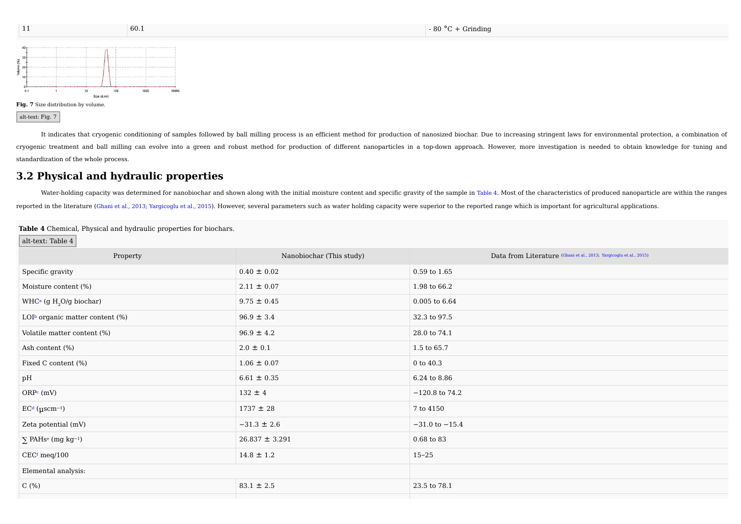

alt-text: Fig. 7

It indicates that cryogenic conditioning of samples followed by ball milling process is an efficient method for production of nanosized biochar. Due to increasing stringent laws for environmental protection, a combination cryogenic treatment and ball milling can evolve into a green and robust method for production of different nanoparticles in a top-down approach. However, more investigation is needed to obtain knowledge for tuning and standardization of the whole process.

# **3.2 Physical and hydraulic properties**

Water-holding capacity was determined for nanobiochar and shown along with the initial moisture content and specific gravity of the sample in Table 4. Most of the characteristics of produced nanoparticle are within the ran reported in the literature (Ghani et al., 2013; Yargicoglu et al., 2015). However, several parameters such as water holding capacity were superior to the reported range which is important for agricultural applications.

#### **Table 4** Chemical, Physical and hydraulic properties for biochars.

#### alt-text: Table 4

| Property                                        | Nanobiochar (This study) | Data from Literature (Ghani et al., 2013; Yargicoglu et al., 2015) |
|-------------------------------------------------|--------------------------|--------------------------------------------------------------------|
| Specific gravity                                | $0.40 \pm 0.02$          | $0.59$ to $1.65$                                                   |
| Moisture content (%)                            | $2.11 \pm 0.07$          | 1.98 to 66.2                                                       |
| WHC <sup>a</sup> (g H <sub>2</sub> O/g biochar) | $9.75 \pm 0.45$          | $0.005$ to $6.64$                                                  |
| LOI <sup>b</sup> organic matter content (%)     | $96.9 \pm 3.4$           | 32.3 to 97.5                                                       |
| Volatile matter content (%)                     | $96.9 \pm 4.2$           | 28.0 to 74.1                                                       |
| Ash content (%)                                 | $2.0 \pm 0.1$            | 1.5 to 65.7                                                        |
| Fixed C content (%)                             | $1.06 \pm 0.07$          | $0$ to $40.3$                                                      |
| pH                                              | $6.61 \pm 0.35$          | 6.24 to 8.86                                                       |
| $ORPc$ (mV)                                     | $132 \pm 4$              | $-120.8$ to 74.2                                                   |
| $ECd$ ( $\mu$ scm <sup>-1</sup> )               | $1737 \pm 28$            | 7 to 4150                                                          |
| Zeta potential (mV)                             | $-31.3 \pm 2.6$          | $-31.0$ to $-15.4$                                                 |
| $\sum$ PAHs <sup>e</sup> (mg kg <sup>-1</sup> ) | $26.837 \pm 3.291$       | $0.68$ to $83$                                                     |
| $CECf$ meq/100                                  | $14.8 \pm 1.2$           | $15 - 25$                                                          |
| Elemental analysis:                             |                          |                                                                    |
| C $(% )$                                        | $83.1 \pm 2.5$           | 23.5 to 78.1                                                       |
|                                                 |                          |                                                                    |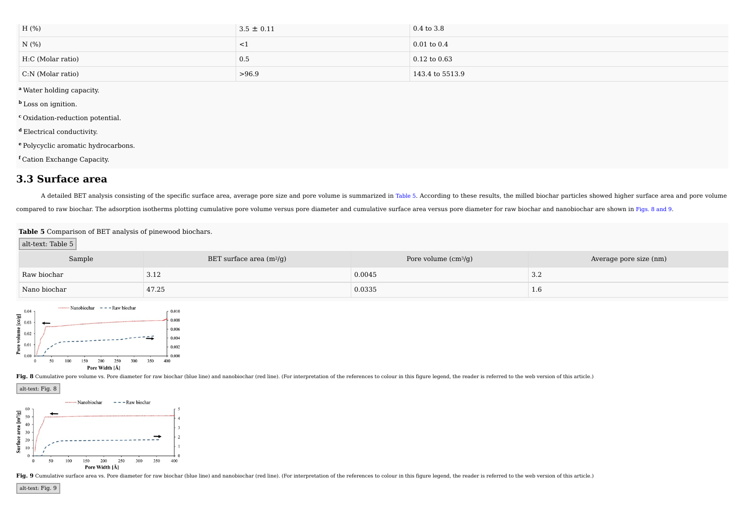| H (%)               | $3.5 \pm 0.11$ | $0.4$ to $3.8$   |
|---------------------|----------------|------------------|
| N(%                 | $\sim$         | $0.01$ to $0.4$  |
| H:C (Molar ratio)   | 0.5            | $0.12$ to $0.63$ |
| $C:N$ (Molar ratio) | >96.9          | 143.4 to 5513.9  |

**<sup>a</sup>** Water holding capacity.

**<sup>b</sup>** Loss on ignition.

**<sup>c</sup>** Oxidation-reduction potential.

**<sup>d</sup>** Electrical conductivity.

**<sup>e</sup>** Polycyclic aromatic hydrocarbons.

**<sup>f</sup>** Cation Exchange Capacity.

## **3.3 Surface area**

A detailed BET analysis consisting of the specific surface area, average pore size and pore volume is summarized in Table 5. According to these results, the milled biochar particles showed higher surface area and pore volu compared to raw biochar. The adsorption isotherms plotting cumulative pore volume versus pore diameter and cumulative surface area versus pore diameter for raw biochar and nanobiochar are shown in Figs. 8 and 9.

#### **Table 5** Comparison of BET analysis of pinewood biochars.

#### alt-text: Table 5

| Sample       | BET surface area $(m^2/g)$ | Pore volume $\text{(cm}^3\text{/g)}$ | Average pore size (nm) |
|--------------|----------------------------|--------------------------------------|------------------------|
| Raw biochar  | 3.12                       | 0.0045                               | 3.2                    |
| Nano biochar | 47.25                      | 0.0335                               | 1.0                    |



Fig. 8 Cumulative pore volume vs. Pore diameter for raw biochar (blue line) and nanobiochar (red line). (For interpretation of the references to colour in this figure legend, the reader is referred to the web version of th

alt-text: Fig. 8



Fig. 9 Cumulative surface area vs. Pore diameter for raw biochar (blue line) and nanobiochar (red line). (For interpretation of the references to colour in this figure legend, the reader is referred to the web version of t

alt-text: Fig. 9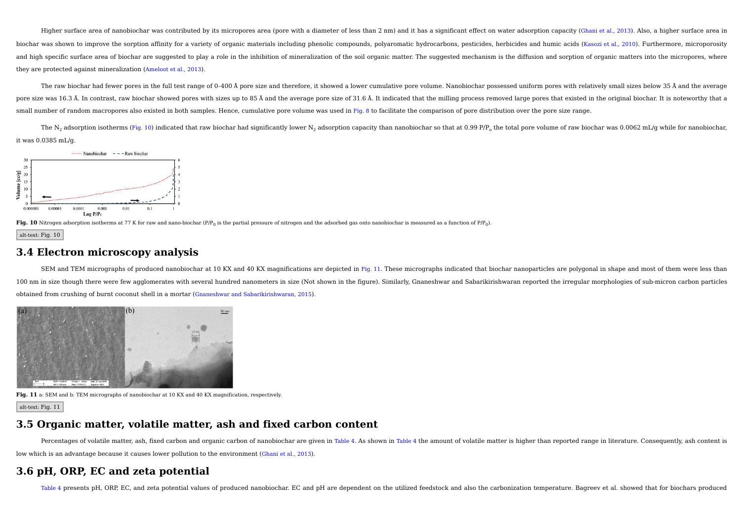Higher surface area of nanobiochar was contributed by its micropores area (pore with a diameter of less than 2 nm) and it has a significant effect on water adsorption capacity (Ghani et al., 2013). Also, a higher surface a biochar was shown to improve the sorption affinity for a variety of organic materials including phenolic compounds, polyaromatic hydrocarbons, pesticides, herbicides and humic acids (Kasozi et al., 2010). Furthermore, micr and high specific surface area of biochar are suggested to play a role in the inhibition of mineralization of the soil organic matter. The suggested mechanism is the diffusion and sorption of organic matters into the micro they are protected against mineralization (Ameloot et al., 2013).

The raw biochar had fewer pores in the full test range of 0-400 Å pore size and therefore, it showed a lower cumulative pore volume. Nanobiochar possessed uniform pores with relatively small sizes below 35 Å and the averag pore size was 16.3 Å. In contrast, raw biochar showed pores with sizes up to 85 Å and the average pore size of 31.6 Å. It indicated that the milling process removed large pores that existed in the original biochar. It is n small number of random macropores also existed in both samples. Hence, cumulative pore volume was used in Fig. 8 to facilitate the comparison of pore distribution over the pore size range.

The N<sub>2</sub> adsorption isotherms (Fig. 10) indicated that raw biochar had significantly lower N<sub>2</sub> adsorption capacity than nanobiochar so that at 0.99 P/P<sub>a</sub> the total pore volume of raw biochar was 0.0062 mL/g while for na it was 0.0385 mL/g.





alt-text: Fig. 10

## **3.4 Electron microscopy analysis**

SEM and TEM micrographs of produced nanobiochar at 10 KX and 40 KX magnifications are depicted in Fig. 11. These micrographs indicated that biochar nanoparticles are polygonal in shape and most of them were less than 100 nm in size though there were few agglomerates with several hundred nanometers in size (Not shown in the figure). Similarly, Gnaneshwar and Sabarikirishwaran reported the irregular morphologies of sub-micron carbon part obtained from crushing of burnt coconut shell in a mortar (Gnaneshwar and Sabarikirishwaran, 2015).



**Fig. 11** a: SEM and b: TEM micrographs of nanobiochar at 10 KX and 40 KX magnification, respectively.

alt-text: Fig. 11

### **3.5 Organic matter, volatile matter, ash and fixed carbon content**

Percentages of volatile matter, ash, fixed carbon and organic carbon of nanobiochar are given in Table 4. As shown in Table 4 the amount of volatile matter is higher than reported range in literature. Consequently, ash con low which is an advantage because it causes lower pollution to the environment (Ghani et al., 2013).

# **3.6 pH, ORP, EC and zeta potential**

Table 4 presents pH, ORP, EC, and zeta potential values of produced nanobiochar. EC and pH are dependent on the utilized feedstock and also the carbonization temperature. Bagreev et al. showed that for biochars produced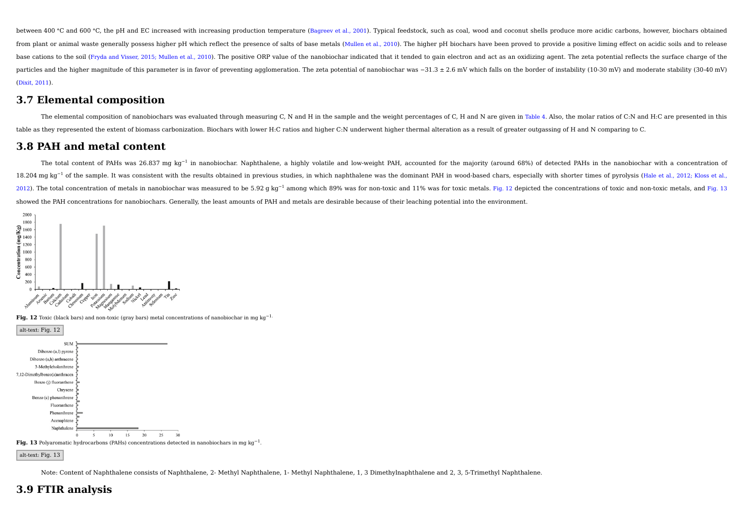between 400 °C and 600 °C, the pH and EC increased with increasing production temperature (Bagreey et al., 2001). Typical feedstock, such as coal, wood and coconut shells produce more acidic carbons, however, biochars obta from plant or animal waste generally possess higher pH which reflect the presence of salts of base metals (Mullen et al., 2010). The higher pH biochars have been proved to provide a positive liming effect on acidic soils a base cations to the soil (Fryda and Visser, 2015; Mullen et al., 2010). The positive ORP value of the nanobiochar indicated that it tended to gain electron and act as an oxidizing agent. The zeta potential reflects the sur particles and the higher magnitude of this parameter is in favor of preventing agglomeration. The zeta potential of nanobiochar was  $-31.3 \pm 2.6$  mV which falls on the border of instability (10-30 mV) and moderate stabili (Dixit, 2011).

## **3.7 Elemental composition**

The elemental composition of nanobiochars was evaluated through measuring C, N and H in the sample and the weight percentages of C, H and N are given in Table 4. Also, the molar ratios of C:N and H:C are presented in this table as they represented the extent of biomass carbonization. Biochars with lower H:C ratios and higher C:N underwent higher thermal alteration as a result of greater outgassing of H and N comparing to C.

## **3.8 PAH and metal content**

The total content of PAHs was 26.837 mg kg<sup>-1</sup> in nanobiochar. Naphthalene, a highly volatile and low-weight PAH, accounted for the majority (around 68%) of detected PAHs in the nanobiochar with a concentration of 18.204 mg kg<sup>-1</sup> of the sample. It was consistent with the results obtained in previous studies, in which naphthalene was the dominant PAH in wood-based chars, especially with shorter times of pyrolysis (Hale et al., 2012; 2012). The total concentration of metals in nanobiochar was measured to be 5.92 g kg<sup>-1</sup> among which 89% was for non-toxic and 11% was for toxic metals. Fig. 12 depicted the concentrations of toxic and non-toxic metals, a showed the PAH concentrations for nanobiochars. Generally, the least amounts of PAH and metals are desirable because of their leaching potential into the environment.



**Fig. 12** Toxic (black bars) and non-toxic (gray bars) metal concentrations of nanobiochar in mg kg−1.



Note: Content of Naphthalene consists of Naphthalene, 2- Methyl Naphthalene, 1- Methyl Naphthalene, 1, 3 Dimethylnaphthalene and 2, 3, 5-Trimethyl Naphthalene.

# **3.9 FTIR analysis**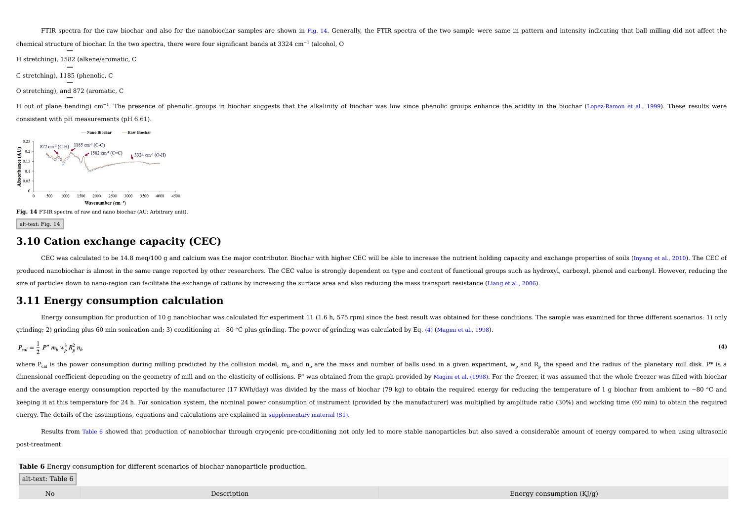FTIR spectra for the raw biochar and also for the nanobiochar samples are shown in Fig. 14. Generally, the FTIR spectra of the two sample were same in pattern and intensity indicating that ball milling did not affect the

chemical structure of biochar. In the two spectra, there were four significant bands at 3324 cm<sup>-1</sup> (alcohol, O

H stretching), 1582 (alkene/aromatic, C

C stretching), 1185 (phenolic, C

O stretching), and 872 (aromatic, C

H out of plane bending) cm<sup>-1</sup>. The presence of phenolic groups in biochar suggests that the alkalinity of biochar was low since phenolic groups enhance the acidity in the biochar (Lopez-Ramon et al., 1999). These results consistent with pH measurements (pH 6.61).





alt-text: Fig. 14

## **3.10 Cation exchange capacity (CEC)**

CEC was calculated to be 14.8 meg/100 g and calcium was the major contributor. Biochar with higher CEC will be able to increase the nutrient holding capacity and exchange properties of soils (Inyang et al., 2010). The CEC produced nanobiochar is almost in the same range reported by other researchers. The CEC value is strongly dependent on type and content of functional groups such as hydroxyl, carboxyl, phenol and carbonyl. However, reducin size of particles down to nano-region can facilitate the exchange of cations by increasing the surface area and also reducing the mass transport resistance (Liang et al., 2006).

## **3.11 Energy consumption calculation**

Energy consumption for production of 10 g nanobiochar was calculated for experiment 11 (1.6 h, 575 rpm) since the best result was obtained for these conditions. The sample was examined for three different scenarios: 1) onl grinding; 2) grinding plus 60 min sonication and; 3) conditioning at −80 °C plus grinding. The power of grinding was calculated by Eq. (4) (Magini et al., 1998).

$$
P_{cal} = \frac{1}{2} P^* m_b w_p^3 R_p^2 n_b
$$
 (4)

where  $P_{\rm cal}$  is the power consumption during milling predicted by the collision model,  $m_b$  and  $n_b$  are the mass and number of balls used in a given experiment,  $w_p$  and  $R_p$  the speed and the radius of the planetary m dimensional coefficient depending on the geometry of mill and on the elasticity of collisions. P\* was obtained from the graph provided by Magini et al. (1998). For the freezer, it was assumed that the whole freezer was fil and the average energy consumption reported by the manufacturer (17 KWh/day) was divided by the mass of biochar (79 kg) to obtain the required energy for reducing the temperature of 1 g biochar from ambient to −80 °C and keeping it at this temperature for 24 h. For sonication system, the nominal power consumption of instrument (provided by the manufacturer) was multiplied by amplitude ratio (30%) and working time (60 min) to obtain the req energy. The details of the assumptions, equations and calculations are explained in supplementary material (S1).

Results from Table 6 showed that production of nanobiochar through cryogenic pre-conditioning not only led to more stable nanoparticles but also saved a considerable amount of energy compared to when using ultrasonic post-treatment.

**Table 6** Energy consumption for different scenarios of biochar nanoparticle production.

alt-text: Table 6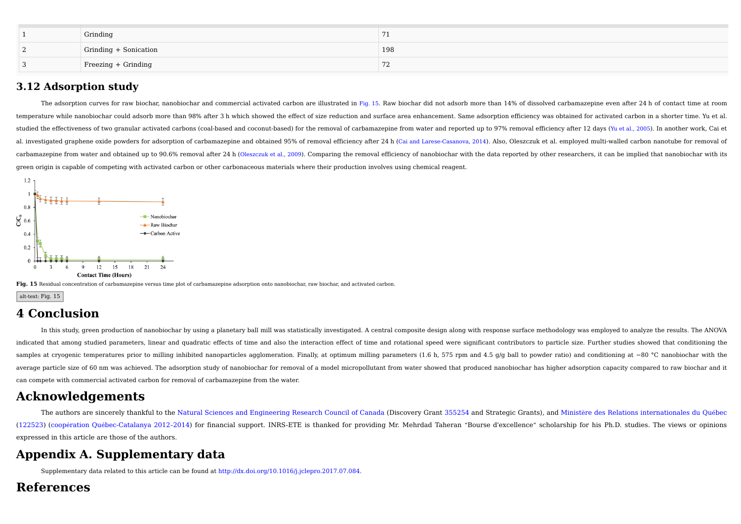| Grinding              |                |
|-----------------------|----------------|
| Grinding + Sonication | 198            |
| Freezing + Grinding   | $\overline{ }$ |

# **3.12 Adsorption study**

The adsorption curves for raw biochar, nanobiochar and commercial activated carbon are illustrated in Fig. 15. Raw biochar did not adsorb more than 14% of dissolved carbamazepine even after 24 h of contact time at room temperature while nanobiochar could adsorb more than 98% after 3 h which showed the effect of size reduction and surface area enhancement. Same adsorption efficiency was obtained for activated carbon in a shorter time. Yu studied the effectiveness of two granular activated carbons (coal-based and coconut-based) for the removal of carbamazepine from water and reported up to 97% removal efficiency after 12 days (Yu et al., 2005). In another w al. investigated graphene oxide powders for adsorption of carbamazepine and obtained 95% of removal efficiency after 24 h (Cai and Larese-Casanova, 2014). Also, Oleszczuk et al. employed multi-walled carbon nanotube for re carbamazepine from water and obtained up to 90.6% removal after 24 h (Oleszczuk et al., 2009). Comparing the removal efficiency of nanobiochar with the data reported by other researchers, it can be implied that nanobiochar green origin is capable of competing with activated carbon or other carbonaceous materials where their production involves using chemical reagent.



Fig. 15 Residual concentration of carbamazepine versus time plot of carbamazepine adsorption onto nanobiochar, raw biochar, and activated carbon.

```
alt-text: Fig. 15
```
# **4 Conclusion**

In this study, green production of nanobiochar by using a planetary ball mill was statistically investigated. A central composite design along with response surface methodology was employed to analyze the results. The ANOVA indicated that among studied parameters, linear and quadratic effects of time and also the interaction effect of time and rotational speed were significant contributors to particle size. Further studies showed that conditi samples at cryogenic temperatures prior to milling inhibited nanoparticles agglomeration. Finally, at optimum milling parameters (1.6 h, 575 rpm and 4.5 g/g ball to powder ratio) and conditioning at -80 °C nanobiochar with average particle size of 60 nm was achieved. The adsorption study of nanobiochar for removal of a model micropollutant from water showed that produced nanobiochar has higher adsorption capacity compared to raw biochar and it can compete with commercial activated carbon for removal of carbamazepine from the water.

# **Acknowledgements**

The authors are sincerely thankful to the Natural Sciences and Engineering Research Council of Canada (Discovery Grant 355254 and Strategic Grants), and Ministère des Relations internationales du Québec (122523) (coopération Québec-Catalanya 2012–2014) for financial support. INRS-ETE is thanked for providing Mr. Mehrdad Taheran "Bourse d'excellence" scholarship for his Ph.D. studies. The views or opinions expressed in this article are those of the authors.

# **Appendix A. Supplementary data**

Supplementary data related to this article can be found at http://dx.doi.org/10.1016/j.jclepro.2017.07.084.

# **References**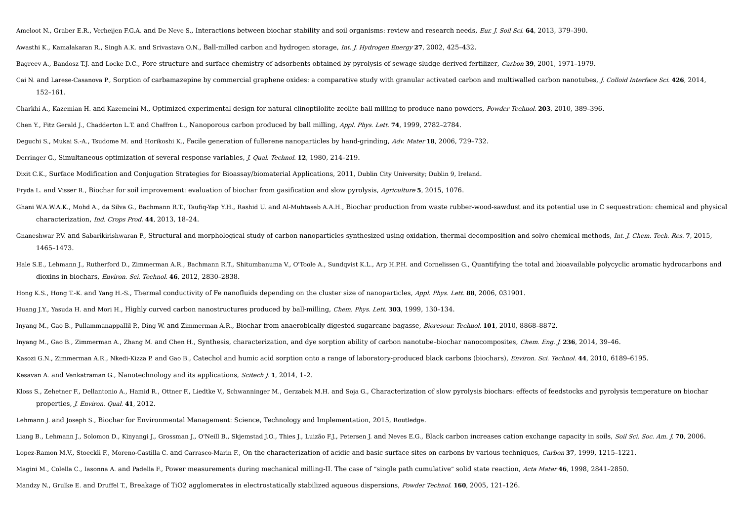Ameloot N., Graber E.R., Verheijen F.G.A. and De Neve S., Interactions between biochar stability and soil organisms: review and research needs, Eur. J. Soil Sci. **64**, 2013, 379–390.

Awasthi K., Kamalakaran R., Singh A.K. and Srivastava O.N., Ball-milled carbon and hydrogen storage, Int. J. Hydrogen Energy **27**, 2002, 425–432.

Bagreev A., Bandosz T.J. and Locke D.C., Pore structure and surface chemistry of adsorbents obtained by pyrolysis of sewage sludge-derived fertilizer, Carbon **39**, 2001, 1971–1979.

Cai N. and Larese-Casanova P., Sorption of carbamazepine by commercial graphene oxides: a comparative study with granular activated carbon and multiwalled carbon nanotubes, J. Colloid Interface Sci. **426**, 2014, 152–161.

Charkhi A., Kazemian H. and Kazemeini M., Optimized experimental design for natural clinoptilolite zeolite ball milling to produce nano powders, Powder Technol. **203**, 2010, 389–396.

- Chen Y., Fitz Gerald J., Chadderton L.T. and Chaffron L., Nanoporous carbon produced by ball milling, Appl. Phys. Lett. **74**, 1999, 2782–2784.
- Deguchi S., Mukai S.-A., Tsudome M. and Horikoshi K., Facile generation of fullerene nanoparticles by hand-grinding, Adv. Mater **18**, 2006, 729–732.
- Derringer G., Simultaneous optimization of several response variables, J. Qual. Technol. **12**, 1980, 214–219.

Dixit C.K., Surface Modification and Conjugation Strategies for Bioassay/biomaterial Applications, 2011, Dublin City University; Dublin 9, Ireland.

Fryda L. and Visser R., Biochar for soil improvement: evaluation of biochar from gasification and slow pyrolysis, Agriculture **5**, 2015, 1076.

- Ghani W.A.W.A.K., Mohd A., da Silva G., Bachmann R.T., Taufiq-Yap Y.H., Rashid U. and Al-Muhtaseb A.A.H., Biochar production from waste rubber-wood-sawdust and its potential use in C sequestration: chemical and physical characterization, Ind. Crops Prod. **44**, 2013, 18–24.
- Gnaneshwar P.V. and Sabarikirishwaran P., Structural and morphological study of carbon nanoparticles synthesized using oxidation, thermal decomposition and solvo chemical methods, Int. J. Chem. Tech. Res. **7**, 2015, 1465–1473.
- Hale S.E., Lehmann J., Rutherford D., Zimmerman A.R., Bachmann R.T., Shitumbanuma V., O'Toole A., Sundqvist K.L., Arp H.P.H. and Cornelissen G., Quantifying the total and bioavailable polycyclic aromatic hydrocarbons and dioxins in biochars, Environ. Sci. Technol. **46**, 2012, 2830–2838.

Hong K.S., Hong T.-K. and Yang H.-S., Thermal conductivity of Fe nanofluids depending on the cluster size of nanoparticles, Appl. Phys. Lett. **88**, 2006, 031901.

Huang J.Y., Yasuda H. and Mori H., Highly curved carbon nanostructures produced by ball-milling, Chem. Phys. Lett. **303**, 1999, 130–134.

Inyang M., Gao B., Pullammanappallil P., Ding W. and Zimmerman A.R., Biochar from anaerobically digested sugarcane bagasse, Bioresour. Technol. **101**, 2010, 8868–8872.

Inyang M., Gao B., Zimmerman A., Zhang M. and Chen H., Synthesis, characterization, and dye sorption ability of carbon nanotube–biochar nanocomposites, Chem. Eng. J. **236**, 2014, 39–46.

Kasozi G.N., Zimmerman A.R., Nkedi-Kizza P. and Gao B., Catechol and humic acid sorption onto a range of laboratory-produced black carbons (biochars), Environ. Sci. Technol. **44**, 2010, 6189–6195.

Kesavan A. and Venkatraman G., Nanotechnology and its applications, Scitech J. **1**, 2014, 1–2.

Kloss S., Zehetner F., Dellantonio A., Hamid R., Ottner F., Liedtke V., Schwanninger M., Gerzabek M.H. and Soja G., Characterization of slow pyrolysis biochars: effects of feedstocks and pyrolysis temperature on biochar properties, J. Environ. Qual. **41**, 2012.

Lehmann J. and Joseph S., Biochar for Environmental Management: Science, Technology and Implementation, 2015, Routledge.

Liang B., Lehmann J., Solomon D., Kinyangi J., Grossman J., O'Neill B., Skjemstad J.O., Thies J., Luizão F.J., Petersen J. and Neves E.G., Black carbon increases cation exchange capacity in soils, Soil Sci. Soc. Am. J. 70,

Lopez-Ramon M.V., Stoeckli F., Moreno-Castilla C. and Carrasco-Marin F., On the characterization of acidic and basic surface sites on carbons by various techniques, Carbon **37**, 1999, 1215–1221.

Magini M., Colella C., Iasonna A. and Padella F., Power measurements during mechanical milling-II. The case of "single path cumulative" solid state reaction, Acta Mater **46**, 1998, 2841–2850.

Mandzy N., Grulke E. and Druffel T., Breakage of TiO2 agglomerates in electrostatically stabilized aqueous dispersions, Powder Technol. **160**, 2005, 121–126.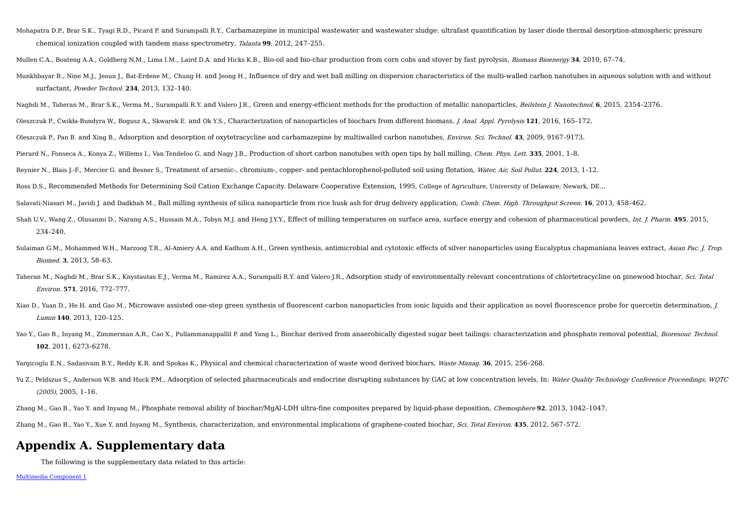Mohapatra D.P., Brar S.K., Tyagi R.D., Picard P. and Surampalli R.Y., Carbamazepine in municipal wastewater and wastewater sludge: ultrafast quantification by laser diode thermal desorption-atmospheric pressure chemical ionization coupled with tandem mass spectrometry, Talanta **99**, 2012, 247–255.

Mullen C.A., Boateng A.A., Goldberg N.M., Lima I.M., Laird D.A. and Hicks K.B., Bio-oil and bio-char production from corn cobs and stover by fast pyrolysis, Biomass Bioenergy **34**, 2010, 67–74.

Munkhbayar B., Nine M.J., Jeoun J., Bat-Erdene M., Chung H. and Jeong H., Influence of dry and wet ball milling on dispersion characteristics of the multi-walled carbon nanotubes in aqueous solution with and without surfactant, Powder Technol. **234**, 2013, 132–140.

Naghdi M., Taheran M., Brar S.K., Verma M., Surampalli R.Y. and Valero J.R., Green and energy-efficient methods for the production of metallic nanoparticles, Beilstein J. Nanotechnol. **6**, 2015, 2354–2376.

Oleszczuk P., Ćwikła-Bundyra W., Bogusz A., Skwarek E. and Ok Y.S., Characterization of nanoparticles of biochars from different biomass, J. Anal. Appl. Pyrolysis **121**, 2016, 165–172.

Oleszczuk P., Pan B. and Xing B., Adsorption and desorption of oxytetracycline and carbamazepine by multiwalled carbon nanotubes, Environ. Sci. Technol. **43**, 2009, 9167–9173.

Pierard N., Fonseca A., Konya Z., Willems I., Van Tendeloo G. and Nagy J.B., Production of short carbon nanotubes with open tips by ball milling, Chem. Phys. Lett. **335**, 2001, 1–8.

Reynier N., Blais J.-F., Mercier G. and Besner S., Treatment of arsenic-, chromium-, copper- and pentachlorophenol-polluted soil using flotation, Water, Air, Soil Pollut. **224**, 2013, 1–12.

Ross D.S., Recommended Methods for Determining Soil Cation Exchange Capacity. Delaware Cooperative Extension, 1995, College of Agriculture, University of Delaware; Newark, DE.,.

Salavati-Niasari M., Javidi J. and Dadkhah M., Ball milling synthesis of silica nanoparticle from rice husk ash for drug delivery application, Comb. Chem. High. Throughput Screen. **16**, 2013, 458–462.

Shah U.V., Wang Z., Olusanmi D., Narang A.S., Hussain M.A., Tobyn M.J. and Heng J.Y.Y., Effect of milling temperatures on surface area, surface energy and cohesion of pharmaceutical powders, Int. J. Pharm. **495**, 2015, 234–240.

- Sulaiman G.M., Mohammed W.H., Marzoog T.R., Al-Amiery A.A. and Kadhum A.H., Green synthesis, antimicrobial and cytotoxic effects of silver nanoparticles using Eucalyptus chapmaniana leaves extract, Asian Pac. J. Trop. Biomed. **3**, 2013, 58–63.
- Taheran M., Naghdi M., Brar S.K., Knystautas E.J., Verma M., Ramirez A.A., Surampalli R.Y. and Valero J.R., Adsorption study of environmentally relevant concentrations of chlortetracycline on pinewood biochar, Sci. Total Environ. **571**, 2016, 772–777.
- Xiao D., Yuan D., He H. and Gao M., Microwave assisted one-step green synthesis of fluorescent carbon nanoparticles from ionic liquids and their application as novel fluorescence probe for quercetin determination, *I.* Lumin **140**, 2013, 120–125.
- Yao Y., Gao B., Inyang M., Zimmerman A.R., Cao X., Pullammanappallil P. and Yang L., Biochar derived from anaerobically digested sugar beet tailings: characterization and phosphate removal potential, Bioresour. Technol. **102**, 2011, 6273–6278.

Yargicoglu E.N., Sadasivam B.Y., Reddy K.R. and Spokas K., Physical and chemical characterization of waste wood derived biochars, Waste Manag. **36**, 2015, 256–268.

Yu Z., Peldszus S., Anderson W.B. and Huck P.M., Adsorption of selected pharmaceuticals and endocrine disrupting substances by GAC at low concentration levels. In: Water Quality Technology Conference Proceedings, WQTC (2005), 2005, 1–16.

Zhang M., Gao B., Yao Y. and Inyang M., Phosphate removal ability of biochar/MgAl-LDH ultra-fine composites prepared by liquid-phase deposition, Chemosphere **92**, 2013, 1042–1047.

Zhang M., Gao B., Yao Y., Xue Y. and Inyang M., Synthesis, characterization, and environmental implications of graphene-coated biochar, Sci. Total Environ. **435**, 2012, 567–572.

# **Appendix A. Supplementary data**

The following is the supplementary data related to this article: